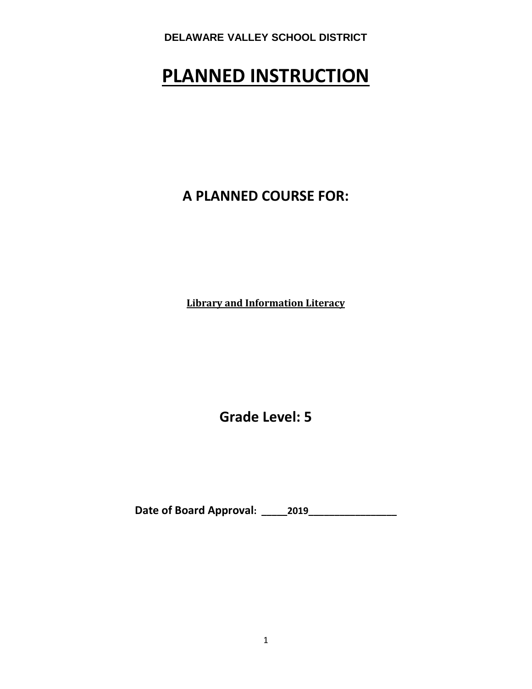# **PLANNED INSTRUCTION**

**A PLANNED COURSE FOR:**

**Library and Information Literacy**

**Grade Level: 5**

**Date of Board Approval: \_\_\_\_\_2019\_\_\_\_\_\_\_\_\_\_\_\_\_\_\_\_\_**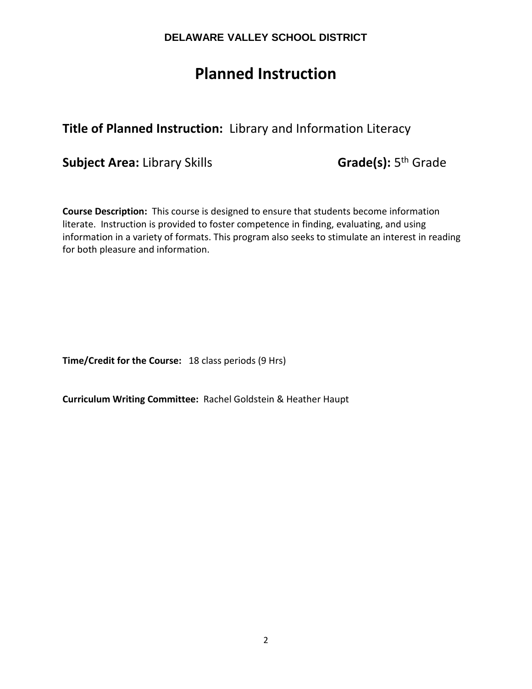# **Planned Instruction**

# **Title of Planned Instruction:** Library and Information Literacy

**Subject Area:** Library Skills **Grade(s):**  $5^{th}$  Grade

**Course Description:** This course is designed to ensure that students become information literate. Instruction is provided to foster competence in finding, evaluating, and using information in a variety of formats. This program also seeks to stimulate an interest in reading for both pleasure and information.

**Time/Credit for the Course:** 18 class periods (9 Hrs)

**Curriculum Writing Committee:** Rachel Goldstein & Heather Haupt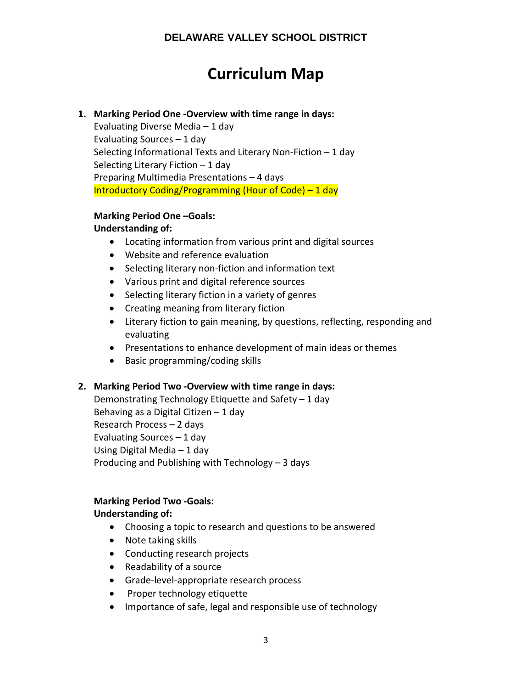# **Curriculum Map**

# **1. Marking Period One -Overview with time range in days:**

Evaluating Diverse Media – 1 day Evaluating Sources – 1 day Selecting Informational Texts and Literary Non-Fiction – 1 day Selecting Literary Fiction – 1 day Preparing Multimedia Presentations – 4 days Introductory Coding/Programming (Hour of Code) – 1 day

# **Marking Period One –Goals:**

# **Understanding of:**

- Locating information from various print and digital sources
- Website and reference evaluation
- Selecting literary non-fiction and information text
- Various print and digital reference sources
- Selecting literary fiction in a variety of genres
- Creating meaning from literary fiction
- Literary fiction to gain meaning, by questions, reflecting, responding and evaluating
- Presentations to enhance development of main ideas or themes
- Basic programming/coding skills

# **2. Marking Period Two -Overview with time range in days:**

Demonstrating Technology Etiquette and Safety – 1 day Behaving as a Digital Citizen  $-1$  day Research Process – 2 days Evaluating Sources – 1 day Using Digital Media – 1 day Producing and Publishing with Technology – 3 days

# **Marking Period Two -Goals:**

# **Understanding of:**

- Choosing a topic to research and questions to be answered
- Note taking skills
- Conducting research projects
- Readability of a source
- Grade-level-appropriate research process
- Proper technology etiquette
- Importance of safe, legal and responsible use of technology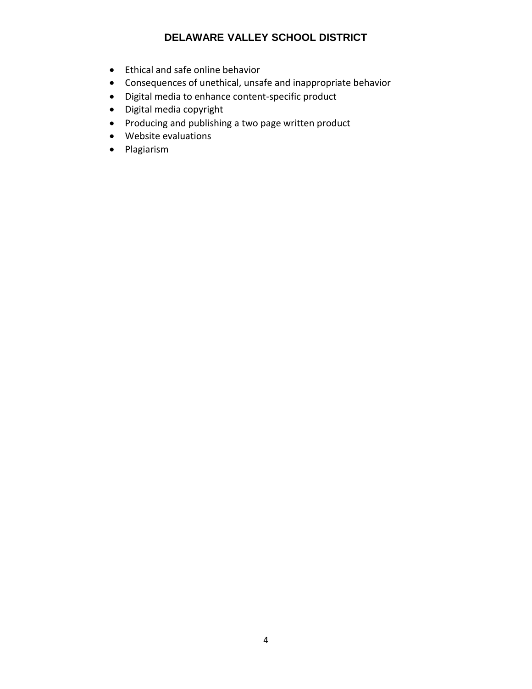- Ethical and safe online behavior
- Consequences of unethical, unsafe and inappropriate behavior
- Digital media to enhance content-specific product
- Digital media copyright
- Producing and publishing a two page written product
- Website evaluations
- Plagiarism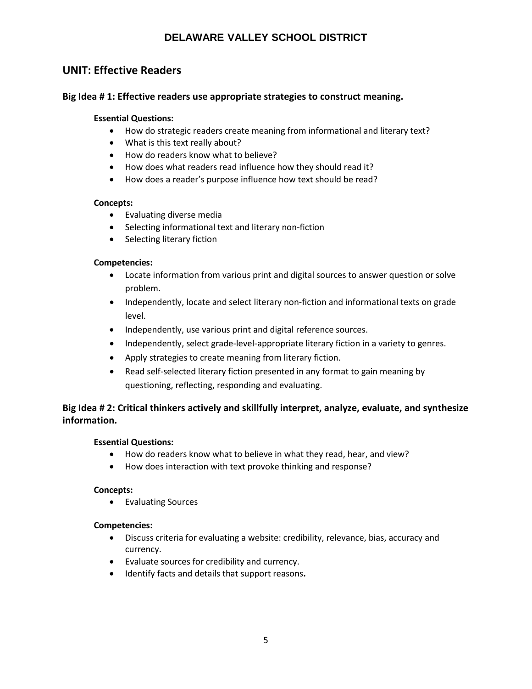# **UNIT: Effective Readers**

# **Big Idea # 1: Effective readers use appropriate strategies to construct meaning.**

## **Essential Questions:**

- How do strategic readers create meaning from informational and literary text?
- What is this text really about?
- How do readers know what to believe?
- How does what readers read influence how they should read it?
- How does a reader's purpose influence how text should be read?

#### **Concepts:**

- Evaluating diverse media
- Selecting informational text and literary non-fiction
- Selecting literary fiction

#### **Competencies:**

- Locate information from various print and digital sources to answer question or solve problem.
- Independently, locate and select literary non-fiction and informational texts on grade level.
- Independently, use various print and digital reference sources.
- Independently, select grade-level-appropriate literary fiction in a variety to genres.
- Apply strategies to create meaning from literary fiction.
- Read self-selected literary fiction presented in any format to gain meaning by questioning, reflecting, responding and evaluating.

# **Big Idea # 2: Critical thinkers actively and skillfully interpret, analyze, evaluate, and synthesize information.**

#### **Essential Questions:**

- How do readers know what to believe in what they read, hear, and view?
- How does interaction with text provoke thinking and response?

#### **Concepts:**

• Evaluating Sources

#### **Competencies:**

- Discuss criteria for evaluating a website: credibility, relevance, bias, accuracy and currency.
- Evaluate sources for credibility and currency.
- Identify facts and details that support reasons**.**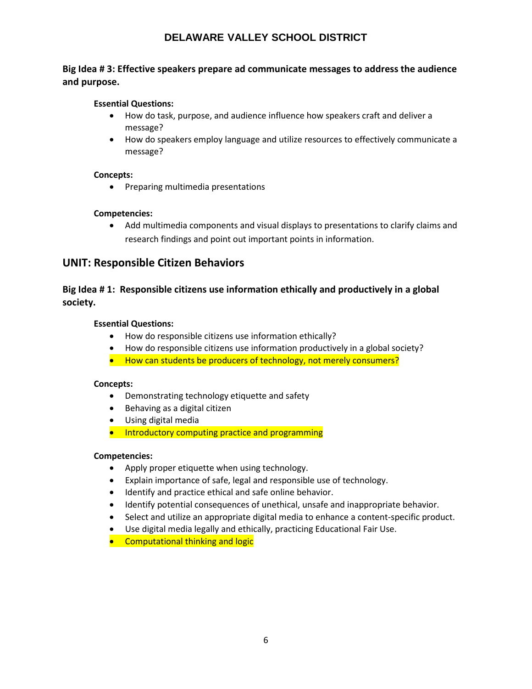# **Big Idea # 3: Effective speakers prepare ad communicate messages to address the audience and purpose.**

# **Essential Questions:**

- How do task, purpose, and audience influence how speakers craft and deliver a message?
- How do speakers employ language and utilize resources to effectively communicate a message?

### **Concepts:**

• Preparing multimedia presentations

### **Competencies:**

• Add multimedia components and visual displays to presentations to clarify claims and research findings and point out important points in information.

# **UNIT: Responsible Citizen Behaviors**

# **Big Idea # 1: Responsible citizens use information ethically and productively in a global society.**

### **Essential Questions:**

- How do responsible citizens use information ethically?
- How do responsible citizens use information productively in a global society?
- How can students be producers of technology, not merely consumers?

#### **Concepts:**

- Demonstrating technology etiquette and safety
- Behaving as a digital citizen
- Using digital media
- **•** Introductory computing practice and programming

#### **Competencies:**

- Apply proper etiquette when using technology.
- Explain importance of safe, legal and responsible use of technology.
- Identify and practice ethical and safe online behavior.
- Identify potential consequences of unethical, unsafe and inappropriate behavior.
- Select and utilize an appropriate digital media to enhance a content-specific product.
- Use digital media legally and ethically, practicing Educational Fair Use.
- **•** Computational thinking and logic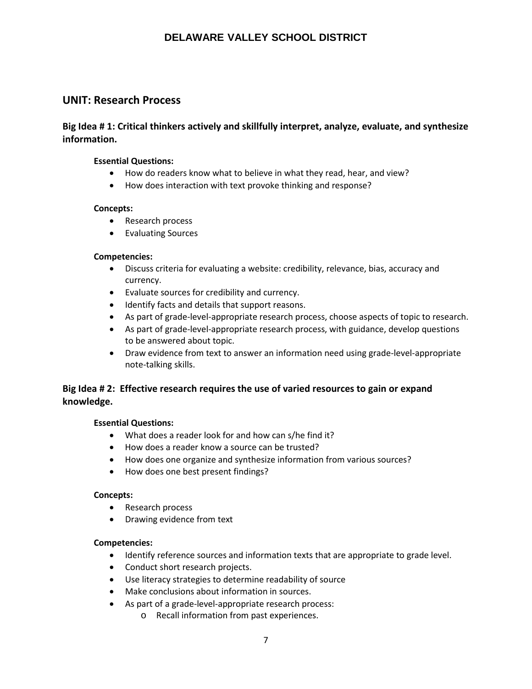# **UNIT: Research Process**

# **Big Idea # 1: Critical thinkers actively and skillfully interpret, analyze, evaluate, and synthesize information.**

#### **Essential Questions:**

- How do readers know what to believe in what they read, hear, and view?
- How does interaction with text provoke thinking and response?

#### **Concepts:**

- Research process
- Evaluating Sources

### **Competencies:**

- Discuss criteria for evaluating a website: credibility, relevance, bias, accuracy and currency.
- Evaluate sources for credibility and currency.
- Identify facts and details that support reasons.
- As part of grade-level-appropriate research process, choose aspects of topic to research.
- As part of grade-level-appropriate research process, with guidance, develop questions to be answered about topic.
- Draw evidence from text to answer an information need using grade-level-appropriate note-talking skills.

# **Big Idea # 2: Effective research requires the use of varied resources to gain or expand knowledge.**

#### **Essential Questions:**

- What does a reader look for and how can s/he find it?
- How does a reader know a source can be trusted?
- How does one organize and synthesize information from various sources?
- How does one best present findings?

#### **Concepts:**

- Research process
- Drawing evidence from text

#### **Competencies:**

- Identify reference sources and information texts that are appropriate to grade level.
- Conduct short research projects.
- Use literacy strategies to determine readability of source
- Make conclusions about information in sources.
- As part of a grade-level-appropriate research process:
	- o Recall information from past experiences.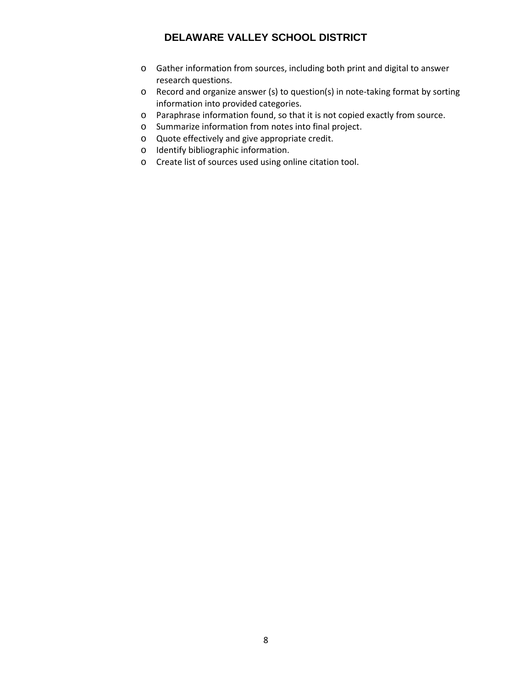- o Gather information from sources, including both print and digital to answer research questions.
- o Record and organize answer (s) to question(s) in note-taking format by sorting information into provided categories.
- o Paraphrase information found, so that it is not copied exactly from source.
- o Summarize information from notes into final project.
- o Quote effectively and give appropriate credit.
- o Identify bibliographic information.
- o Create list of sources used using online citation tool.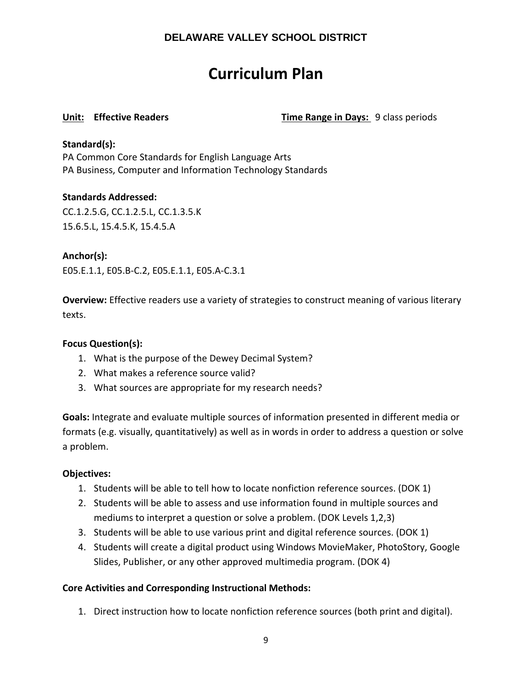# **Curriculum Plan**

**Unit: Effective Readers Time Range in Days:** 9 class periods

# **Standard(s):**

PA Common Core Standards for English Language Arts PA Business, Computer and Information Technology Standards

# **Standards Addressed:**

CC.1.2.5.G, CC.1.2.5.L, CC.1.3.5.K 15.6.5.L, 15.4.5.K, 15.4.5.A

# **Anchor(s):**

E05.E.1.1, E05.B-C.2, E05.E.1.1, E05.A-C.3.1

**Overview:** Effective readers use a variety of strategies to construct meaning of various literary texts.

# **Focus Question(s):**

- 1. What is the purpose of the Dewey Decimal System?
- 2. What makes a reference source valid?
- 3. What sources are appropriate for my research needs?

**Goals:** Integrate and evaluate multiple sources of information presented in different media or formats (e.g. visually, quantitatively) as well as in words in order to address a question or solve a problem.

# **Objectives:**

- 1. Students will be able to tell how to locate nonfiction reference sources. (DOK 1)
- 2. Students will be able to assess and use information found in multiple sources and mediums to interpret a question or solve a problem. (DOK Levels 1,2,3)
- 3. Students will be able to use various print and digital reference sources. (DOK 1)
- 4. Students will create a digital product using Windows MovieMaker, PhotoStory, Google Slides, Publisher, or any other approved multimedia program. (DOK 4)

# **Core Activities and Corresponding Instructional Methods:**

1. Direct instruction how to locate nonfiction reference sources (both print and digital).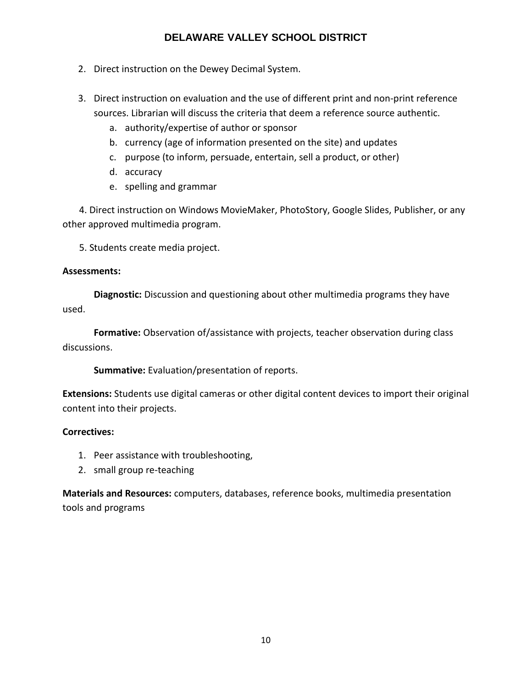- 2. Direct instruction on the Dewey Decimal System.
- 3. Direct instruction on evaluation and the use of different print and non-print reference sources. Librarian will discuss the criteria that deem a reference source authentic.
	- a. authority/expertise of author or sponsor
	- b. currency (age of information presented on the site) and updates
	- c. purpose (to inform, persuade, entertain, sell a product, or other)
	- d. accuracy
	- e. spelling and grammar

 4. Direct instruction on Windows MovieMaker, PhotoStory, Google Slides, Publisher, or any other approved multimedia program.

5. Students create media project.

# **Assessments:**

**Diagnostic:** Discussion and questioning about other multimedia programs they have used.

**Formative:** Observation of/assistance with projects, teacher observation during class discussions.

**Summative:** Evaluation/presentation of reports.

**Extensions:** Students use digital cameras or other digital content devices to import their original content into their projects.

# **Correctives:**

- 1. Peer assistance with troubleshooting,
- 2. small group re-teaching

**Materials and Resources:** computers, databases, reference books, multimedia presentation tools and programs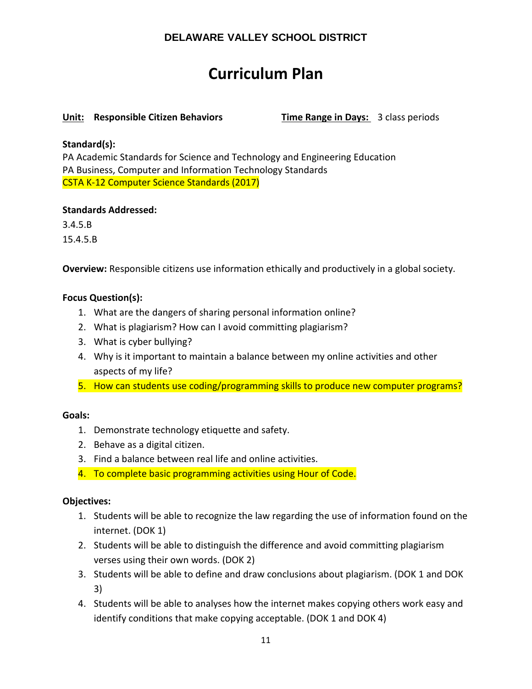# **Curriculum Plan**

# **Unit: Responsible Citizen Behaviors Time Range in Days:** 3 class periods

# **Standard(s):**

PA Academic Standards for Science and Technology and Engineering Education PA Business, Computer and Information Technology Standards CSTA K-12 Computer Science Standards (2017)

# **Standards Addressed:**

3.4.5.B 15.4.5.B

**Overview:** Responsible citizens use information ethically and productively in a global society.

# **Focus Question(s):**

- 1. What are the dangers of sharing personal information online?
- 2. What is plagiarism? How can I avoid committing plagiarism?
- 3. What is cyber bullying?
- 4. Why is it important to maintain a balance between my online activities and other aspects of my life?
- 5. How can students use coding/programming skills to produce new computer programs?

# **Goals:**

- 1. Demonstrate technology etiquette and safety.
- 2. Behave as a digital citizen.
- 3. Find a balance between real life and online activities.
- 4. To complete basic programming activities using Hour of Code.

# **Objectives:**

- 1. Students will be able to recognize the law regarding the use of information found on the internet. (DOK 1)
- 2. Students will be able to distinguish the difference and avoid committing plagiarism verses using their own words. (DOK 2)
- 3. Students will be able to define and draw conclusions about plagiarism. (DOK 1 and DOK 3)
- 4. Students will be able to analyses how the internet makes copying others work easy and identify conditions that make copying acceptable. (DOK 1 and DOK 4)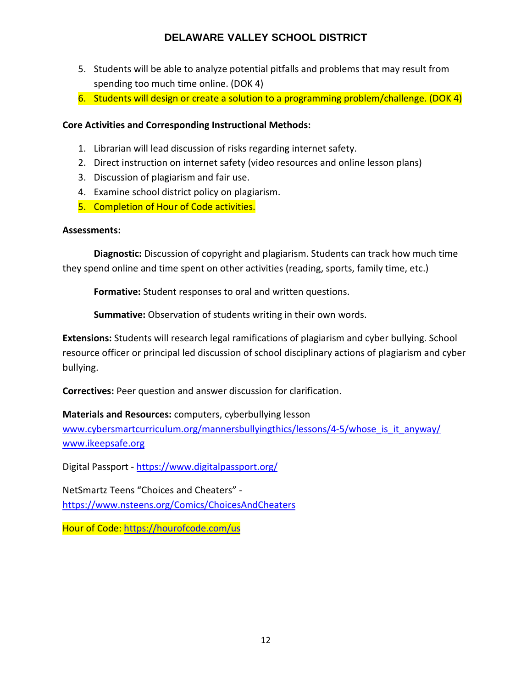- 5. Students will be able to analyze potential pitfalls and problems that may result from spending too much time online. (DOK 4)
- 6. Students will design or create a solution to a programming problem/challenge. (DOK 4)

# **Core Activities and Corresponding Instructional Methods:**

- 1. Librarian will lead discussion of risks regarding internet safety.
- 2. Direct instruction on internet safety (video resources and online lesson plans)
- 3. Discussion of plagiarism and fair use.
- 4. Examine school district policy on plagiarism.
- 5. Completion of Hour of Code activities.

# **Assessments:**

**Diagnostic:** Discussion of copyright and plagiarism. Students can track how much time they spend online and time spent on other activities (reading, sports, family time, etc.)

**Formative:** Student responses to oral and written questions.

**Summative:** Observation of students writing in their own words.

**Extensions:** Students will research legal ramifications of plagiarism and cyber bullying. School resource officer or principal led discussion of school disciplinary actions of plagiarism and cyber bullying.

**Correctives:** Peer question and answer discussion for clarification.

# **Materials and Resources:** computers, cyberbullying lesson

www.cybersmartcurriculum.org/mannersbullyingthics/lessons/4-5/whose is it anyway/ [www.ikeepsafe.org](http://www.ikeepsafe.org/)

Digital Passport - <https://www.digitalpassport.org/>

NetSmartz Teens "Choices and Cheaters" <https://www.nsteens.org/Comics/ChoicesAndCheaters>

Hour of Code[: https://hourofcode.com/us](https://hourofcode.com/us)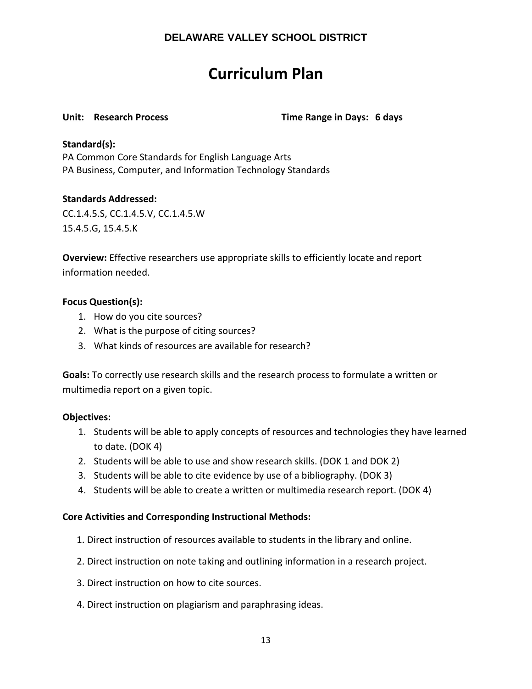# **Curriculum Plan**

**Unit: Research Process Time Range in Days: 6 days**

# **Standard(s):**

PA Common Core Standards for English Language Arts PA Business, Computer, and Information Technology Standards

# **Standards Addressed:**

CC.1.4.5.S, CC.1.4.5.V, CC.1.4.5.W 15.4.5.G, 15.4.5.K

**Overview:** Effective researchers use appropriate skills to efficiently locate and report information needed.

# **Focus Question(s):**

- 1. How do you cite sources?
- 2. What is the purpose of citing sources?
- 3. What kinds of resources are available for research?

**Goals:** To correctly use research skills and the research process to formulate a written or multimedia report on a given topic.

# **Objectives:**

- 1. Students will be able to apply concepts of resources and technologies they have learned to date. (DOK 4)
- 2. Students will be able to use and show research skills. (DOK 1 and DOK 2)
- 3. Students will be able to cite evidence by use of a bibliography. (DOK 3)
- 4. Students will be able to create a written or multimedia research report. (DOK 4)

# **Core Activities and Corresponding Instructional Methods:**

- 1. Direct instruction of resources available to students in the library and online.
- 2. Direct instruction on note taking and outlining information in a research project.
- 3. Direct instruction on how to cite sources.
- 4. Direct instruction on plagiarism and paraphrasing ideas.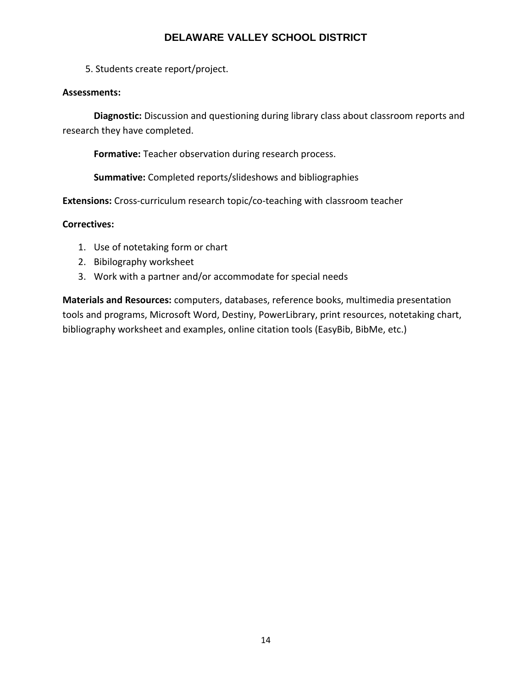5. Students create report/project.

# **Assessments:**

**Diagnostic:** Discussion and questioning during library class about classroom reports and research they have completed.

**Formative:** Teacher observation during research process.

**Summative:** Completed reports/slideshows and bibliographies

**Extensions:** Cross-curriculum research topic/co-teaching with classroom teacher

# **Correctives:**

- 1. Use of notetaking form or chart
- 2. Bibilography worksheet
- 3. Work with a partner and/or accommodate for special needs

**Materials and Resources:** computers, databases, reference books, multimedia presentation tools and programs, Microsoft Word, Destiny, PowerLibrary, print resources, notetaking chart, bibliography worksheet and examples, online citation tools (EasyBib, BibMe, etc.)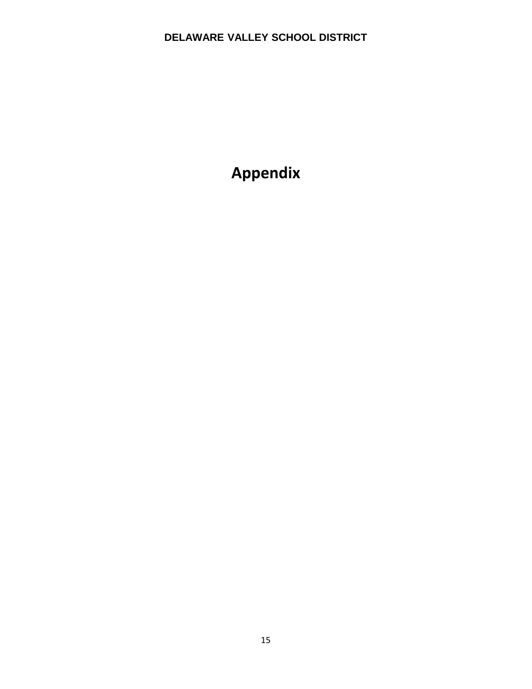**Appendix**